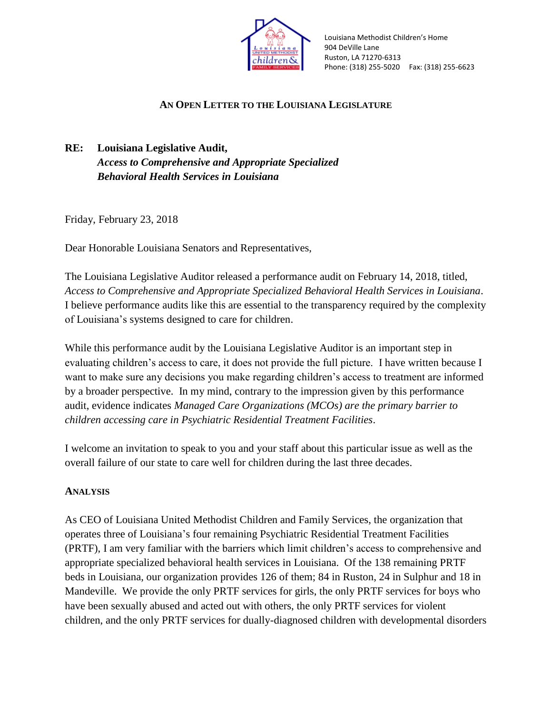

Louisiana Methodist Children's Home 904 DeVille Lane Ruston, LA 71270-6313 Phone: (318) 255-5020 Fax: (318) 255-6623

# **AN OPEN LETTER TO THE LOUISIANA LEGISLATURE**

**RE: Louisiana Legislative Audit,** *Access to Comprehensive and Appropriate Specialized Behavioral Health Services in Louisiana*

Friday, February 23, 2018

Dear Honorable Louisiana Senators and Representatives,

The Louisiana Legislative Auditor released a performance audit on February 14, 2018, titled, *Access to Comprehensive and Appropriate Specialized Behavioral Health Services in Louisiana*. I believe performance audits like this are essential to the transparency required by the complexity of Louisiana's systems designed to care for children.

While this performance audit by the Louisiana Legislative Auditor is an important step in evaluating children's access to care, it does not provide the full picture. I have written because I want to make sure any decisions you make regarding children's access to treatment are informed by a broader perspective. In my mind, contrary to the impression given by this performance audit, evidence indicates *Managed Care Organizations (MCOs) are the primary barrier to children accessing care in Psychiatric Residential Treatment Facilities*.

I welcome an invitation to speak to you and your staff about this particular issue as well as the overall failure of our state to care well for children during the last three decades.

## **ANALYSIS**

As CEO of Louisiana United Methodist Children and Family Services, the organization that operates three of Louisiana's four remaining Psychiatric Residential Treatment Facilities (PRTF), I am very familiar with the barriers which limit children's access to comprehensive and appropriate specialized behavioral health services in Louisiana. Of the 138 remaining PRTF beds in Louisiana, our organization provides 126 of them; 84 in Ruston, 24 in Sulphur and 18 in Mandeville. We provide the only PRTF services for girls, the only PRTF services for boys who have been sexually abused and acted out with others, the only PRTF services for violent children, and the only PRTF services for dually-diagnosed children with developmental disorders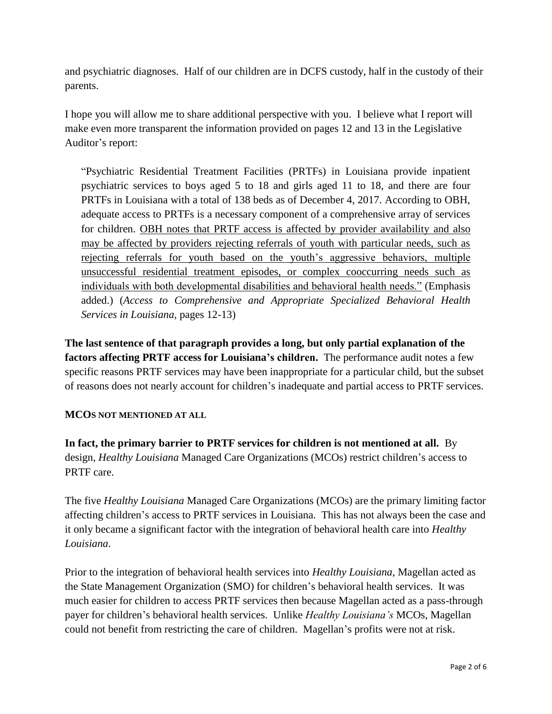and psychiatric diagnoses. Half of our children are in DCFS custody, half in the custody of their parents.

I hope you will allow me to share additional perspective with you. I believe what I report will make even more transparent the information provided on pages 12 and 13 in the Legislative Auditor's report:

"Psychiatric Residential Treatment Facilities (PRTFs) in Louisiana provide inpatient psychiatric services to boys aged 5 to 18 and girls aged 11 to 18, and there are four PRTFs in Louisiana with a total of 138 beds as of December 4, 2017. According to OBH, adequate access to PRTFs is a necessary component of a comprehensive array of services for children. OBH notes that PRTF access is affected by provider availability and also may be affected by providers rejecting referrals of youth with particular needs, such as rejecting referrals for youth based on the youth's aggressive behaviors, multiple unsuccessful residential treatment episodes, or complex cooccurring needs such as individuals with both developmental disabilities and behavioral health needs." (Emphasis added.) (*Access to Comprehensive and Appropriate Specialized Behavioral Health Services in Louisiana*, pages 12-13)

**The last sentence of that paragraph provides a long, but only partial explanation of the factors affecting PRTF access for Louisiana's children.** The performance audit notes a few specific reasons PRTF services may have been inappropriate for a particular child, but the subset of reasons does not nearly account for children's inadequate and partial access to PRTF services.

## **MCOS NOT MENTIONED AT ALL**

**In fact, the primary barrier to PRTF services for children is not mentioned at all.** By design, *Healthy Louisiana* Managed Care Organizations (MCOs) restrict children's access to PRTF care.

The five *Healthy Louisiana* Managed Care Organizations (MCOs) are the primary limiting factor affecting children's access to PRTF services in Louisiana. This has not always been the case and it only became a significant factor with the integration of behavioral health care into *Healthy Louisiana*.

Prior to the integration of behavioral health services into *Healthy Louisiana*, Magellan acted as the State Management Organization (SMO) for children's behavioral health services. It was much easier for children to access PRTF services then because Magellan acted as a pass-through payer for children's behavioral health services. Unlike *Healthy Louisiana's* MCOs, Magellan could not benefit from restricting the care of children. Magellan's profits were not at risk.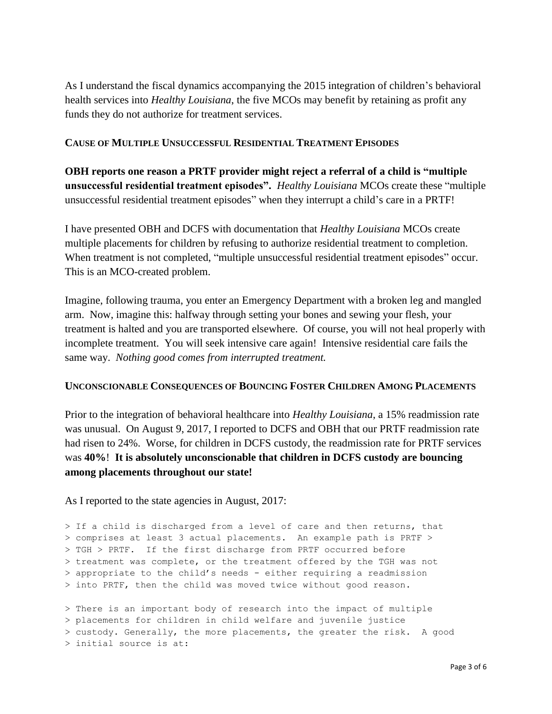As I understand the fiscal dynamics accompanying the 2015 integration of children's behavioral health services into *Healthy Louisiana*, the five MCOs may benefit by retaining as profit any funds they do not authorize for treatment services.

### **CAUSE OF MULTIPLE UNSUCCESSFUL RESIDENTIAL TREATMENT EPISODES**

**OBH reports one reason a PRTF provider might reject a referral of a child is "multiple unsuccessful residential treatment episodes".** *Healthy Louisiana* MCOs create these "multiple unsuccessful residential treatment episodes" when they interrupt a child's care in a PRTF!

I have presented OBH and DCFS with documentation that *Healthy Louisiana* MCOs create multiple placements for children by refusing to authorize residential treatment to completion. When treatment is not completed, "multiple unsuccessful residential treatment episodes" occur. This is an MCO-created problem.

Imagine, following trauma, you enter an Emergency Department with a broken leg and mangled arm. Now, imagine this: halfway through setting your bones and sewing your flesh, your treatment is halted and you are transported elsewhere. Of course, you will not heal properly with incomplete treatment. You will seek intensive care again! Intensive residential care fails the same way. *Nothing good comes from interrupted treatment.*

#### **UNCONSCIONABLE CONSEQUENCES OF BOUNCING FOSTER CHILDREN AMONG PLACEMENTS**

Prior to the integration of behavioral healthcare into *Healthy Louisiana*, a 15% readmission rate was unusual. On August 9, 2017, I reported to DCFS and OBH that our PRTF readmission rate had risen to 24%. Worse, for children in DCFS custody, the readmission rate for PRTF services was **40%**! **It is absolutely unconscionable that children in DCFS custody are bouncing among placements throughout our state!**

As I reported to the state agencies in August, 2017:

> If a child is discharged from a level of care and then returns, that > comprises at least 3 actual placements. An example path is PRTF > > TGH > PRTF. If the first discharge from PRTF occurred before > treatment was complete, or the treatment offered by the TGH was not > appropriate to the child's needs - either requiring a readmission > into PRTF, then the child was moved twice without good reason.

> There is an important body of research into the impact of multiple > placements for children in child welfare and juvenile justice > custody. Generally, the more placements, the greater the risk. A good > initial source is at: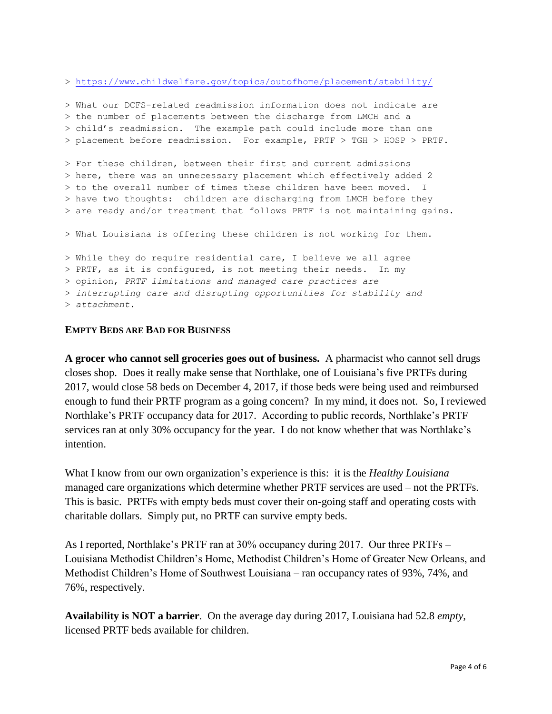><https://www.childwelfare.gov/topics/outofhome/placement/stability/>

```
> What our DCFS-related readmission information does not indicate are
> the number of placements between the discharge from LMCH and a
> child's readmission. The example path could include more than one
> placement before readmission. For example, PRTF > TGH > HOSP > PRTF.
> For these children, between their first and current admissions
> here, there was an unnecessary placement which effectively added 2
> to the overall number of times these children have been moved. I
> have two thoughts: children are discharging from LMCH before they
> are ready and/or treatment that follows PRTF is not maintaining gains.
> What Louisiana is offering these children is not working for them.
> While they do require residential care, I believe we all agree
> PRTF, as it is configured, is not meeting their needs. In my
> opinion, PRTF limitations and managed care practices are
> interrupting care and disrupting opportunities for stability and
> attachment.
```
### **EMPTY BEDS ARE BAD FOR BUSINESS**

**A grocer who cannot sell groceries goes out of business.** A pharmacist who cannot sell drugs closes shop. Does it really make sense that Northlake, one of Louisiana's five PRTFs during 2017, would close 58 beds on December 4, 2017, if those beds were being used and reimbursed enough to fund their PRTF program as a going concern? In my mind, it does not. So, I reviewed Northlake's PRTF occupancy data for 2017. According to public records, Northlake's PRTF services ran at only 30% occupancy for the year. I do not know whether that was Northlake's intention.

What I know from our own organization's experience is this: it is the *Healthy Louisiana* managed care organizations which determine whether PRTF services are used – not the PRTFs. This is basic. PRTFs with empty beds must cover their on-going staff and operating costs with charitable dollars. Simply put, no PRTF can survive empty beds.

As I reported, Northlake's PRTF ran at 30% occupancy during 2017. Our three PRTFs – Louisiana Methodist Children's Home, Methodist Children's Home of Greater New Orleans, and Methodist Children's Home of Southwest Louisiana – ran occupancy rates of 93%, 74%, and 76%, respectively.

**Availability is NOT a barrier**. On the average day during 2017, Louisiana had 52.8 *empty*, licensed PRTF beds available for children.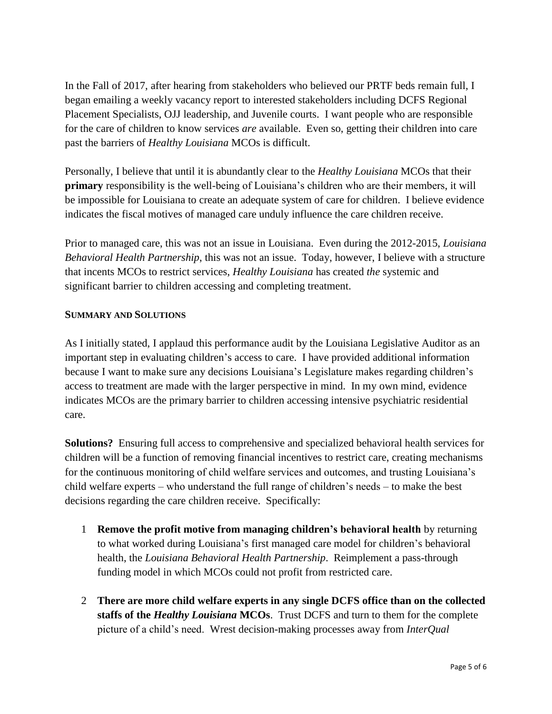In the Fall of 2017, after hearing from stakeholders who believed our PRTF beds remain full, I began emailing a weekly vacancy report to interested stakeholders including DCFS Regional Placement Specialists, OJJ leadership, and Juvenile courts. I want people who are responsible for the care of children to know services *are* available. Even so, getting their children into care past the barriers of *Healthy Louisiana* MCOs is difficult.

Personally, I believe that until it is abundantly clear to the *Healthy Louisiana* MCOs that their **primary** responsibility is the well-being of Louisiana's children who are their members, it will be impossible for Louisiana to create an adequate system of care for children. I believe evidence indicates the fiscal motives of managed care unduly influence the care children receive.

Prior to managed care, this was not an issue in Louisiana. Even during the 2012-2015, *Louisiana Behavioral Health Partnership*, this was not an issue. Today, however, I believe with a structure that incents MCOs to restrict services, *Healthy Louisiana* has created *the* systemic and significant barrier to children accessing and completing treatment.

### **SUMMARY AND SOLUTIONS**

As I initially stated, I applaud this performance audit by the Louisiana Legislative Auditor as an important step in evaluating children's access to care. I have provided additional information because I want to make sure any decisions Louisiana's Legislature makes regarding children's access to treatment are made with the larger perspective in mind. In my own mind, evidence indicates MCOs are the primary barrier to children accessing intensive psychiatric residential care.

**Solutions?** Ensuring full access to comprehensive and specialized behavioral health services for children will be a function of removing financial incentives to restrict care, creating mechanisms for the continuous monitoring of child welfare services and outcomes, and trusting Louisiana's child welfare experts – who understand the full range of children's needs – to make the best decisions regarding the care children receive. Specifically:

- 1 **Remove the profit motive from managing children's behavioral health** by returning to what worked during Louisiana's first managed care model for children's behavioral health, the *Louisiana Behavioral Health Partnership*. Reimplement a pass-through funding model in which MCOs could not profit from restricted care.
- 2 **There are more child welfare experts in any single DCFS office than on the collected staffs of the** *Healthy Louisiana* **MCOs**. Trust DCFS and turn to them for the complete picture of a child's need. Wrest decision-making processes away from *InterQual*